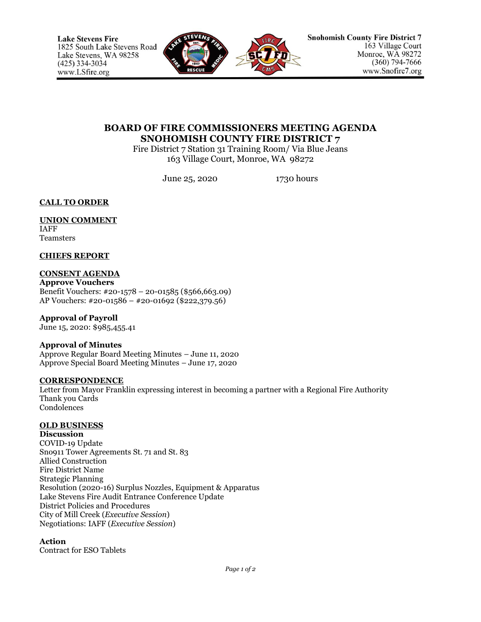

# **BOARD OF FIRE COMMISSIONERS MEETING AGENDA SNOHOMISH COUNTY FIRE DISTRICT 7**

Fire District 7 Station 31 Training Room/ Via Blue Jeans 163 Village Court, Monroe, WA 98272

June 25, 2020 1730 hours

**CALL TO ORDER**

**UNION COMMENT** IAFF Teamsters

**CHIEFS REPORT**

**CONSENT AGENDA Approve Vouchers** Benefit Vouchers: #20-1578 – 20-01585 (\$566,663.09) AP Vouchers: #20-01586 – #20-01692 (\$222,379.56)

**Approval of Payroll** June 15, 2020: \$985,455.41

**Approval of Minutes**

Approve Regular Board Meeting Minutes – June 11, 2020 Approve Special Board Meeting Minutes – June 17, 2020

# **CORRESPONDENCE**

Letter from Mayor Franklin expressing interest in becoming a partner with a Regional Fire Authority Thank you Cards Condolences

# **OLD BUSINESS**

**Discussion** COVID-19 Update Sno911 Tower Agreements St. 71 and St. 83 Allied Construction Fire District Name Strategic Planning Resolution (2020-16) Surplus Nozzles, Equipment & Apparatus Lake Stevens Fire Audit Entrance Conference Update District Policies and Procedures City of Mill Creek (*Executive Session*) Negotiations: IAFF (*Executive Session*)

# **Action**

Contract for ESO Tablets